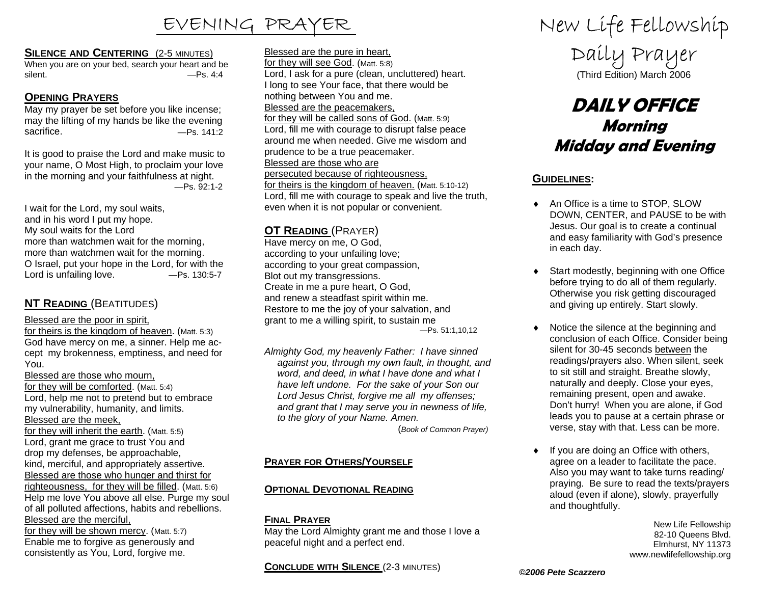### **SILENCE AND CENTERING** (2-5 MINUTES)

When you are on your bed, search your heart and be silent. — Ps. 4:4

# **OPENING PRAYERS**

May my prayer be set before you like incense; may the lifting of my hands be like the evening sacrifice. — The Sacrifice Assessment Contract Assessment Assessment Contract Assessment Assessment Assessment Assessment Assessment Assessment Assessment Assessment Assessment Assessment Assessment Assessment Assessment A

It is good to praise the Lord and make music to your name, O Most High, to proclaim your love in the morning and your faithfulness at night. —Ps. 92:1-2

I wait for the Lord, my soul waits, and in his word I put my hope. My soul waits for the Lord more than watchmen wait for the morning, more than watchmen wait for the morning. O Israel, put your hope in the Lord, for with the Lord is unfailing love. — Ps. 130:5-7

# **NT READING** (BEATITUDES)

Blessed are the poor in spirit,

for theirs is the kingdom of heaven. (Matt. 5:3) God have mercy on me, a sinner. Help me accept my brokenness, emptiness, and need for You.

#### Blessed are those who mourn,

for they will be comforted. (Matt. 5:4) Lord, help me not to pretend but to embrace my vulnerability, humanity, and limits. Blessed are the meek,

for they will inherit the earth. (Matt. 5:5) Lord, grant me grace to trust You and drop my defenses, be approachable, kind, merciful, and appropriately assertive. Blessed are those who hunger and thirst for righteousness, for they will be filled. (Matt. 5:6) Help me love You above all else. Purge my soul of all polluted affections, habits and rebellions. Blessed are the merciful,

for they will be shown mercy. (Matt. 5:7) Enable me to forgive as generously and consistently as You, Lord, forgive me.

Blessed are the pure in heart, for they will see God. (Matt. 5:8) Lord, I ask for a pure (clean, uncluttered) heart. I long to see Your face, that there would be nothing between You and me. Blessed are the peacemakers, for they will be called sons of God. (Matt. 5:9) Lord, fill me with courage to disrupt false peace around me when needed. Give me wisdom and prudence to be a true peacemaker. Blessed are those who are persecuted because of righteousness, for theirs is the kingdom of heaven. (Matt. 5:10-12) Lord, fill me with courage to speak and live the truth, even when it is not popular or convenient.

# **OT READING** (PRAYER)

Have mercy on me, O God, according to your unfailing love; according to your great compassion, Blot out my transgressions. Create in me a pure heart, O God, and renew a steadfast spirit within me. Restore to me the joy of your salvation, and grant to me a willing spirit, to sustain me —Ps. 51:1,10,12

*Almighty God, my heavenly Father: I have sinned against you, through my own fault, in thought, and word, and deed, in what I have done and what I have left undone. For the sake of your Son our Lord Jesus Christ, forgive me all my offenses; and grant that I may serve you in newness of life, to the glory of your Name. Amen.* 

(*Book of Common Prayer)* 

# **PRAYER FOR OTHERS/YOURSELF**

# **OPTIONAL DEVOTIONAL READING**

# **FINAL PRAYER**

May the Lord Almighty grant me and those I love a peaceful night and a perfect end.

**CONCLUDE WITH SILENCE** (2-3 MINUTES)

EVENING PRAYER New Life Fellowship

Daily Prayer (Third Edition) March 2006

# **DAILY OFFICEMorning Midday and Evening**

# **GUIDELINES:**

- ◆ An Office is a time to STOP, SLOW DOWN, CENTER, and PAUSE to be with Jesus. Our goal is to create a continual and easy familiarity with God's presence in each day.
- ♦ Start modestly, beginning with one Office before trying to do all of them regularly. Otherwise you risk getting discouraged and giving up entirely. Start slowly.
- ♦ Notice the silence at the beginning and conclusion of each Office. Consider being silent for 30-45 seconds between the readings/prayers also. When silent, seek to sit still and straight. Breathe slowly, naturally and deeply. Close your eyes, remaining present, open and awake. Don't hurry! When you are alone, if God leads you to pause at a certain phrase or verse, stay with that. Less can be more.
- ♦ If you are doing an Office with others, agree on a leader to facilitate the pace. Also you may want to take turns reading/ praying. Be sure to read the texts/prayers aloud (even if alone), slowly, prayerfully and thoughtfully.

New Life Fellowship 82-10 Queens Blvd. Elmhurst, NY 11373 www.newlifefellowship.org